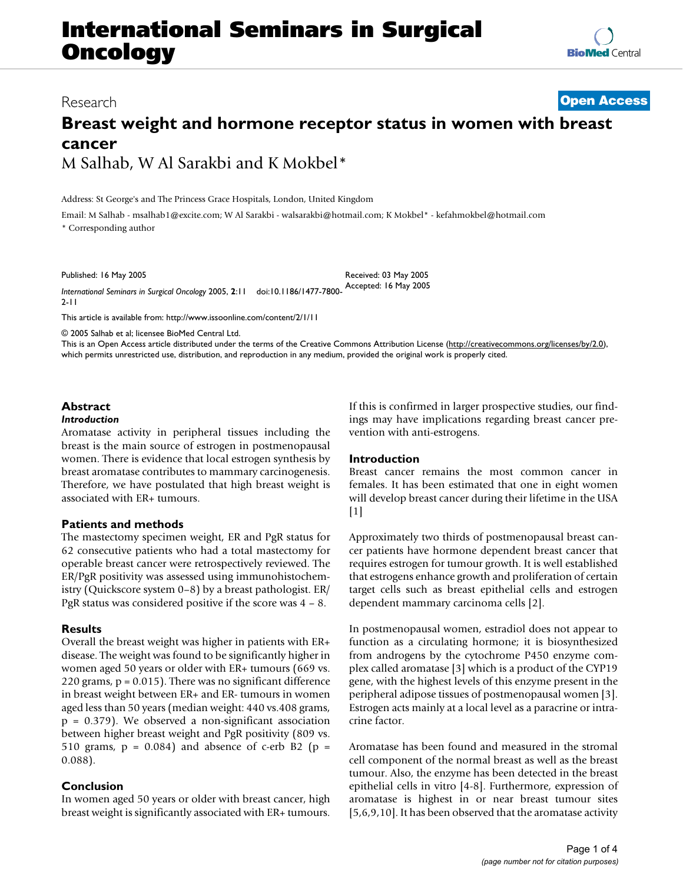# **International Seminars in Surgical Oncology**

### Research **[Open Access](http://www.biomedcentral.com/info/about/charter/)**

# **Breast weight and hormone receptor status in women with breast cancer** M Salhab, W Al Sarakbi and K Mokbel\*

Address: St George's and The Princess Grace Hospitals, London, United Kingdom

Email: M Salhab - msalhab1@excite.com; W Al Sarakbi - walsarakbi@hotmail.com; K Mokbel\* - kefahmokbel@hotmail.com

\* Corresponding author

Published: 16 May 2005

*International Seminars in Surgical Oncology* 2005, **2**:11 doi:10.1186/1477-7800- Accepted: 16 May 2005 Received: 03 May 2005

2-11

[This article is available from: http://www.issoonline.com/content/2/1/11](http://www.issoonline.com/content/2/1/11)

© 2005 Salhab et al; licensee BioMed Central Ltd.

This is an Open Access article distributed under the terms of the Creative Commons Attribution License [\(http://creativecommons.org/licenses/by/2.0\)](http://creativecommons.org/licenses/by/2.0), which permits unrestricted use, distribution, and reproduction in any medium, provided the original work is properly cited.

## **Abstract**

#### *Introduction*

Aromatase activity in peripheral tissues including the breast is the main source of estrogen in postmenopausal women. There is evidence that local estrogen synthesis by breast aromatase contributes to mammary carcinogenesis. Therefore, we have postulated that high breast weight is associated with ER+ tumours.

#### **Patients and methods**

The mastectomy specimen weight, ER and PgR status for 62 consecutive patients who had a total mastectomy for operable breast cancer were retrospectively reviewed. The ER/PgR positivity was assessed using immunohistochemistry (Quickscore system 0–8) by a breast pathologist. ER/ PgR status was considered positive if the score was 4 – 8.

#### **Results**

Overall the breast weight was higher in patients with ER+ disease. The weight was found to be significantly higher in women aged 50 years or older with ER+ tumours (669 vs. 220 grams, p = 0.015). There was no significant difference in breast weight between ER+ and ER- tumours in women aged less than 50 years (median weight: 440 vs.408 grams, p = 0.379). We observed a non-significant association between higher breast weight and PgR positivity (809 vs. 510 grams,  $p = 0.084$ ) and absence of c-erb B2 ( $p =$ 0.088).

#### **Conclusion**

In women aged 50 years or older with breast cancer, high breast weight is significantly associated with ER+ tumours.

If this is confirmed in larger prospective studies, our findings may have implications regarding breast cancer prevention with anti-estrogens.

#### **Introduction**

Breast cancer remains the most common cancer in females. It has been estimated that one in eight women will develop breast cancer during their lifetime in the USA  $[1]$ 

Approximately two thirds of postmenopausal breast cancer patients have hormone dependent breast cancer that requires estrogen for tumour growth. It is well established that estrogens enhance growth and proliferation of certain target cells such as breast epithelial cells and estrogen dependent mammary carcinoma cells [2].

In postmenopausal women, estradiol does not appear to function as a circulating hormone; it is biosynthesized from androgens by the cytochrome P450 enzyme complex called aromatase [3] which is a product of the CYP19 gene, with the highest levels of this enzyme present in the peripheral adipose tissues of postmenopausal women [3]. Estrogen acts mainly at a local level as a paracrine or intracrine factor.

Aromatase has been found and measured in the stromal cell component of the normal breast as well as the breast tumour. Also, the enzyme has been detected in the breast epithelial cells in vitro [4-8]. Furthermore, expression of aromatase is highest in or near breast tumour sites [5,6,9,10]. It has been observed that the aromatase activity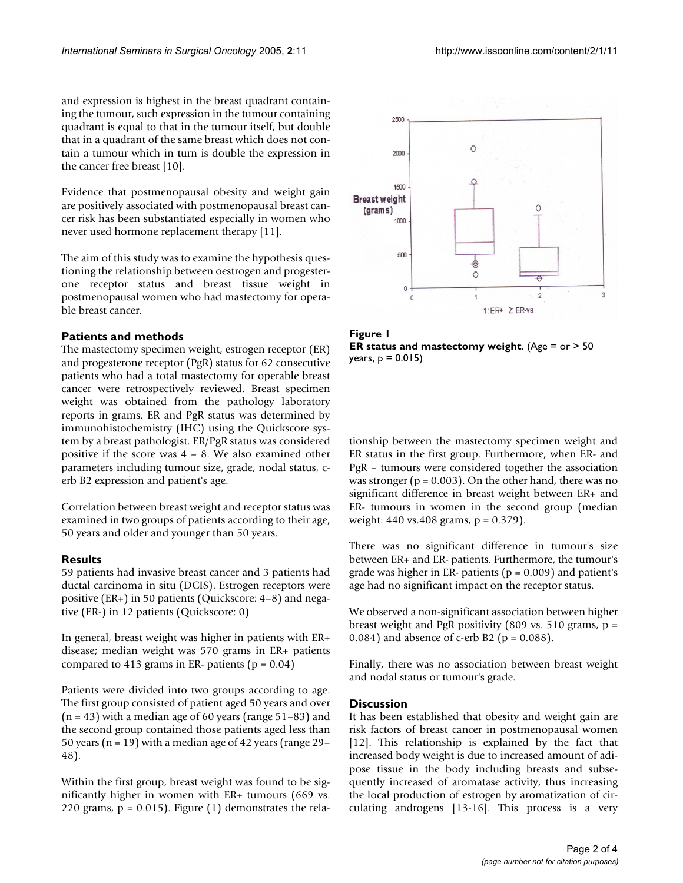and expression is highest in the breast quadrant containing the tumour, such expression in the tumour containing quadrant is equal to that in the tumour itself, but double that in a quadrant of the same breast which does not contain a tumour which in turn is double the expression in the cancer free breast [10].

Evidence that postmenopausal obesity and weight gain are positively associated with postmenopausal breast cancer risk has been substantiated especially in women who never used hormone replacement therapy [11].

The aim of this study was to examine the hypothesis questioning the relationship between oestrogen and progesterone receptor status and breast tissue weight in postmenopausal women who had mastectomy for operable breast cancer.

#### **Patients and methods**

The mastectomy specimen weight, estrogen receptor (ER) and progesterone receptor (PgR) status for 62 consecutive patients who had a total mastectomy for operable breast cancer were retrospectively reviewed. Breast specimen weight was obtained from the pathology laboratory reports in grams. ER and PgR status was determined by immunohistochemistry (IHC) using the Quickscore system by a breast pathologist. ER/PgR status was considered positive if the score was 4 – 8. We also examined other parameters including tumour size, grade, nodal status, cerb B2 expression and patient's age.

Correlation between breast weight and receptor status was examined in two groups of patients according to their age, 50 years and older and younger than 50 years.

#### **Results**

59 patients had invasive breast cancer and 3 patients had ductal carcinoma in situ (DCIS). Estrogen receptors were positive (ER+) in 50 patients (Quickscore: 4–8) and negative (ER-) in 12 patients (Quickscore: 0)

In general, breast weight was higher in patients with ER+ disease; median weight was 570 grams in ER+ patients compared to 413 grams in ER- patients ( $p = 0.04$ )

Patients were divided into two groups according to age. The first group consisted of patient aged 50 years and over  $(n = 43)$  with a median age of 60 years (range 51–83) and the second group contained those patients aged less than 50 years ( $n = 19$ ) with a median age of 42 years (range 29– 48).

Within the first group, breast weight was found to be significantly higher in women with ER+ tumours (669 vs. 220 grams,  $p = 0.015$ ). Figure (1) demonstrates the rela-



**Figure 1 ER status and mastectomy weight**. (Age = or > 50 years, p = 0.015)

tionship between the mastectomy specimen weight and ER status in the first group. Furthermore, when ER- and PgR – tumours were considered together the association was stronger ( $p = 0.003$ ). On the other hand, there was no significant difference in breast weight between ER+ and ER- tumours in women in the second group (median weight: 440 vs.408 grams, p = 0.379).

There was no significant difference in tumour's size between ER+ and ER- patients. Furthermore, the tumour's grade was higher in ER- patients ( $p = 0.009$ ) and patient's age had no significant impact on the receptor status.

We observed a non-significant association between higher breast weight and PgR positivity (809 vs. 510 grams,  $p =$ 0.084) and absence of c-erb B2 ( $p = 0.088$ ).

Finally, there was no association between breast weight and nodal status or tumour's grade.

#### **Discussion**

It has been established that obesity and weight gain are risk factors of breast cancer in postmenopausal women [12]. This relationship is explained by the fact that increased body weight is due to increased amount of adipose tissue in the body including breasts and subsequently increased of aromatase activity, thus increasing the local production of estrogen by aromatization of circulating androgens [13-16]. This process is a very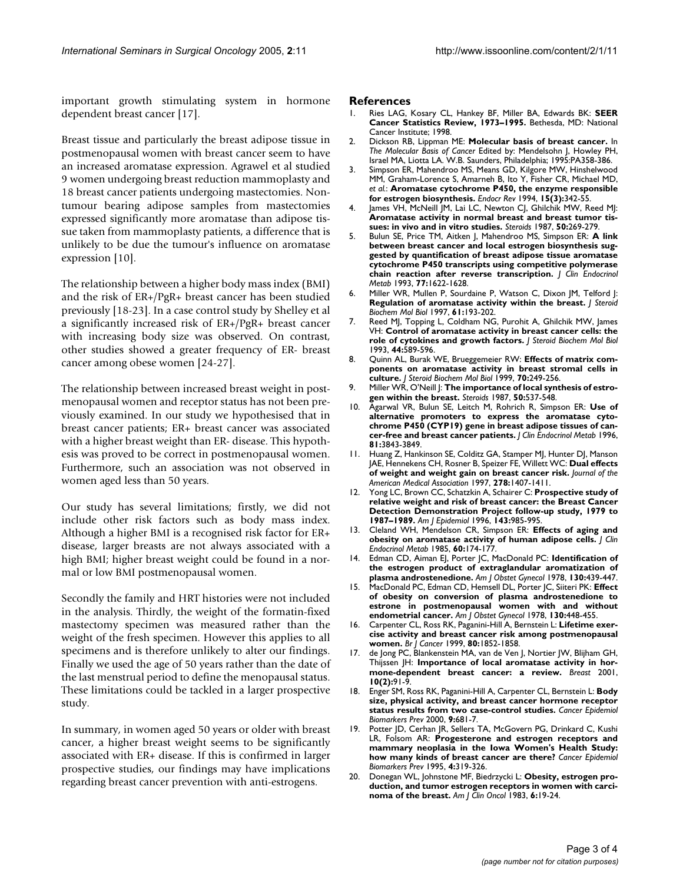important growth stimulating system in hormone dependent breast cancer [17].

Breast tissue and particularly the breast adipose tissue in postmenopausal women with breast cancer seem to have an increased aromatase expression. Agrawel et al studied 9 women undergoing breast reduction mammoplasty and 18 breast cancer patients undergoing mastectomies. Nontumour bearing adipose samples from mastectomies expressed significantly more aromatase than adipose tissue taken from mammoplasty patients, a difference that is unlikely to be due the tumour's influence on aromatase expression [10].

The relationship between a higher body mass index (BMI) and the risk of ER+/PgR+ breast cancer has been studied previously [18-23]. In a case control study by Shelley et al a significantly increased risk of ER+/PgR+ breast cancer with increasing body size was observed. On contrast, other studies showed a greater frequency of ER- breast cancer among obese women [24-27].

The relationship between increased breast weight in postmenopausal women and receptor status has not been previously examined. In our study we hypothesised that in breast cancer patients; ER+ breast cancer was associated with a higher breast weight than ER- disease. This hypothesis was proved to be correct in postmenopausal women. Furthermore, such an association was not observed in women aged less than 50 years.

Our study has several limitations; firstly, we did not include other risk factors such as body mass index. Although a higher BMI is a recognised risk factor for ER+ disease, larger breasts are not always associated with a high BMI; higher breast weight could be found in a normal or low BMI postmenopausal women.

Secondly the family and HRT histories were not included in the analysis. Thirdly, the weight of the formatin-fixed mastectomy specimen was measured rather than the weight of the fresh specimen. However this applies to all specimens and is therefore unlikely to alter our findings. Finally we used the age of 50 years rather than the date of the last menstrual period to define the menopausal status. These limitations could be tackled in a larger prospective study.

In summary, in women aged 50 years or older with breast cancer, a higher breast weight seems to be significantly associated with ER+ disease. If this is confirmed in larger prospective studies, our findings may have implications regarding breast cancer prevention with anti-estrogens.

#### **References**

- 1. Ries LAG, Kosary CL, Hankey BF, Miller BA, Edwards BK: **SEER Cancer Statistics Review, 1973–1995.** Bethesda, MD: National Cancer Institute; 1998.
- 2. Dickson RB, Lippman ME: **Molecular basis of breast cancer.** In *The Molecular Basis of Cancer* Edited by: Mendelsohn J, Howley PH, Israel MA, Liotta LA. W.B. Saunders, Philadelphia; 1995:PA358-386.
- 3. Simpson ER, Mahendroo MS, Means GD, Kilgore MW, Hinshelwood MM, Graham-Lorence S, Amarneh B, Ito Y, Fisher CR, Michael MD, *et al.*: **[Aromatase cytochrome P450, the enzyme responsible](http://www.ncbi.nlm.nih.gov/entrez/query.fcgi?cmd=Retrieve&db=PubMed&dopt=Abstract&list_uids=8076586) [for estrogen biosynthesis.](http://www.ncbi.nlm.nih.gov/entrez/query.fcgi?cmd=Retrieve&db=PubMed&dopt=Abstract&list_uids=8076586)** *Endocr Rev* 1994, **15(3):**342-55.
- 4. James VH, McNeill JM, Lai LC, Newton CJ, Ghilchik MW, Reed MJ: **[Aromatase activity in normal breast and breast tumor tis](http://www.ncbi.nlm.nih.gov/entrez/query.fcgi?cmd=Retrieve&db=PubMed&dopt=Abstract&list_uids=3509763)[sues: in vivo and in vitro studies.](http://www.ncbi.nlm.nih.gov/entrez/query.fcgi?cmd=Retrieve&db=PubMed&dopt=Abstract&list_uids=3509763)** *Steroids* 1987, **50:**269-279.
- 5. Bulun SE, Price TM, Aitken J, Mahendroo MS, Simpson ER: **[A link](http://www.ncbi.nlm.nih.gov/entrez/query.fcgi?cmd=Retrieve&db=PubMed&dopt=Abstract&list_uids=8117355) [between breast cancer and local estrogen biosynthesis sug](http://www.ncbi.nlm.nih.gov/entrez/query.fcgi?cmd=Retrieve&db=PubMed&dopt=Abstract&list_uids=8117355)gested by quantification of breast adipose tissue aromatase cytochrome P450 transcripts using competitive polymerase [chain reaction after reverse transcription.](http://www.ncbi.nlm.nih.gov/entrez/query.fcgi?cmd=Retrieve&db=PubMed&dopt=Abstract&list_uids=8117355)** *J Clin Endocrinol Metab* 1993, **77:**1622-1628.
- 6. Miller WR, Mullen P, Sourdaine P, Watson C, Dixon JM, Telford J: **[Regulation of aromatase activity within the breast.](http://www.ncbi.nlm.nih.gov/entrez/query.fcgi?cmd=Retrieve&db=PubMed&dopt=Abstract&list_uids=9365190)** *J Steroid Biochem Mol Biol* 1997, **61:**193-202.
- 7. Reed MJ, Topping L, Coldham NG, Purohit A, Ghilchik MW, James VH: **[Control of aromatase activity in breast cancer cells: the](http://www.ncbi.nlm.nih.gov/entrez/query.fcgi?cmd=Retrieve&db=PubMed&dopt=Abstract&list_uids=8476771) [role of cytokines and growth factors.](http://www.ncbi.nlm.nih.gov/entrez/query.fcgi?cmd=Retrieve&db=PubMed&dopt=Abstract&list_uids=8476771)** *J Steroid Biochem Mol Biol* 1993, **44:**589-596.
- 8. Quinn AL, Burak WE, Brueggemeier RW: **[Effects of matrix com](http://www.ncbi.nlm.nih.gov/entrez/query.fcgi?cmd=Retrieve&db=PubMed&dopt=Abstract&list_uids=10622415)[ponents on aromatase activity in breast stromal cells in](http://www.ncbi.nlm.nih.gov/entrez/query.fcgi?cmd=Retrieve&db=PubMed&dopt=Abstract&list_uids=10622415) [culture.](http://www.ncbi.nlm.nih.gov/entrez/query.fcgi?cmd=Retrieve&db=PubMed&dopt=Abstract&list_uids=10622415)** *J Steroid Biochem Mol Biol* 1999, **70:**249-256.
- 9. Miller WR, O'Neill J: **[The importance of local synthesis of estro](http://www.ncbi.nlm.nih.gov/entrez/query.fcgi?cmd=Retrieve&db=PubMed&dopt=Abstract&list_uids=3504615)[gen within the breast.](http://www.ncbi.nlm.nih.gov/entrez/query.fcgi?cmd=Retrieve&db=PubMed&dopt=Abstract&list_uids=3504615)** *Steroids* 1987, **50:**537-548.
- 10. Agarwal VR, Bulun SE, Leitch M, Rohrich R, Simpson ER: **[Use of](http://www.ncbi.nlm.nih.gov/entrez/query.fcgi?cmd=Retrieve&db=PubMed&dopt=Abstract&list_uids=8923826) [alternative promoters to express the aromatase cyto](http://www.ncbi.nlm.nih.gov/entrez/query.fcgi?cmd=Retrieve&db=PubMed&dopt=Abstract&list_uids=8923826)chrome P450 (CYP19) gene in breast adipose tissues of can[cer-free and breast cancer patients.](http://www.ncbi.nlm.nih.gov/entrez/query.fcgi?cmd=Retrieve&db=PubMed&dopt=Abstract&list_uids=8923826)** *J Clin Endocrinol Metab* 1996, **81:**3843-3849.
- 11. Huang Z, Hankinson SE, Colditz GA, Stamper MJ, Hunter DJ, Manson JAE, Hennekens CH, Rosner B, Speizer FE, Willett WC: **[Dual effects](http://www.ncbi.nlm.nih.gov/entrez/query.fcgi?cmd=Retrieve&db=PubMed&dopt=Abstract&list_uids=9355998) [of weight and weight gain on breast cancer risk.](http://www.ncbi.nlm.nih.gov/entrez/query.fcgi?cmd=Retrieve&db=PubMed&dopt=Abstract&list_uids=9355998)** *Journal of the American Medical Association* 1997, **278:**1407-1411.
- 12. Yong LC, Brown CC, Schatzkin A, Schairer C: **[Prospective study of](http://www.ncbi.nlm.nih.gov/entrez/query.fcgi?cmd=Retrieve&db=PubMed&dopt=Abstract&list_uids=8629617) [relative weight and risk of breast cancer: the Breast Cancer](http://www.ncbi.nlm.nih.gov/entrez/query.fcgi?cmd=Retrieve&db=PubMed&dopt=Abstract&list_uids=8629617) Detection Demonstration Project follow-up study, 1979 to [1987–1989.](http://www.ncbi.nlm.nih.gov/entrez/query.fcgi?cmd=Retrieve&db=PubMed&dopt=Abstract&list_uids=8629617)** *Am J Epidemiol* 1996, **143:**985-995.
- 13. Cleland WH, Mendelson CR, Simpson ER: **[Effects of aging and](http://www.ncbi.nlm.nih.gov/entrez/query.fcgi?cmd=Retrieve&db=PubMed&dopt=Abstract&list_uids=3964790) [obesity on aromatase activity of human adipose cells.](http://www.ncbi.nlm.nih.gov/entrez/query.fcgi?cmd=Retrieve&db=PubMed&dopt=Abstract&list_uids=3964790)** *J Clin Endocrinol Metab* 1985, **60:**174-177.
- 14. Edman CD, Aiman EJ, Porter JC, MacDonald PC: **[Identification of](http://www.ncbi.nlm.nih.gov/entrez/query.fcgi?cmd=Retrieve&db=PubMed&dopt=Abstract&list_uids=629288) [the estrogen product of extraglandular aromatization of](http://www.ncbi.nlm.nih.gov/entrez/query.fcgi?cmd=Retrieve&db=PubMed&dopt=Abstract&list_uids=629288) [plasma androstenedione.](http://www.ncbi.nlm.nih.gov/entrez/query.fcgi?cmd=Retrieve&db=PubMed&dopt=Abstract&list_uids=629288)** *Am J Obstet Gynecol* 1978, **130:**439-447.
- 15. MacDonald PC, Edman CD, Hemsell DL, Porter JC, Siiteri PK: **[Effect](http://www.ncbi.nlm.nih.gov/entrez/query.fcgi?cmd=Retrieve&db=PubMed&dopt=Abstract&list_uids=629289) [of obesity on conversion of plasma androstenedione to](http://www.ncbi.nlm.nih.gov/entrez/query.fcgi?cmd=Retrieve&db=PubMed&dopt=Abstract&list_uids=629289) estrone in postmenopausal women with and without [endometrial cancer.](http://www.ncbi.nlm.nih.gov/entrez/query.fcgi?cmd=Retrieve&db=PubMed&dopt=Abstract&list_uids=629289)** *Am J Obstet Gynecol* 1978, **130:**448-455.
- 16. Carpenter CL, Ross RK, Paganini-Hill A, Bernstein L: **[Lifetime exer](http://www.ncbi.nlm.nih.gov/entrez/query.fcgi?cmd=Retrieve&db=PubMed&dopt=Abstract&list_uids=10468309)[cise activity and breast cancer risk among postmenopausal](http://www.ncbi.nlm.nih.gov/entrez/query.fcgi?cmd=Retrieve&db=PubMed&dopt=Abstract&list_uids=10468309) [women.](http://www.ncbi.nlm.nih.gov/entrez/query.fcgi?cmd=Retrieve&db=PubMed&dopt=Abstract&list_uids=10468309)** *Br J Cancer* 1999, **80:**1852-1858.
- 17. de Jong PC, Blankenstein MA, van de Ven J, Nortier JW, Blijham GH, Thijssen JH: **[Importance of local aromatase activity in hor](http://www.ncbi.nlm.nih.gov/entrez/query.fcgi?cmd=Retrieve&db=PubMed&dopt=Abstract&list_uids=14965567)[mone-dependent breast cancer: a review.](http://www.ncbi.nlm.nih.gov/entrez/query.fcgi?cmd=Retrieve&db=PubMed&dopt=Abstract&list_uids=14965567)** *Breast* 2001, **10(2):**91-9.
- 18. Enger SM, Ross RK, Paganini-Hill A, Carpenter CL, Bernstein L: **[Body](http://www.ncbi.nlm.nih.gov/entrez/query.fcgi?cmd=Retrieve&db=PubMed&dopt=Abstract&list_uids=10919738) [size, physical activity, and breast cancer hormone receptor](http://www.ncbi.nlm.nih.gov/entrez/query.fcgi?cmd=Retrieve&db=PubMed&dopt=Abstract&list_uids=10919738) [status results from two case-control studies.](http://www.ncbi.nlm.nih.gov/entrez/query.fcgi?cmd=Retrieve&db=PubMed&dopt=Abstract&list_uids=10919738)** *Cancer Epidemiol Biomarkers Prev* 2000, **9:**681-7.
- 19. Potter JD, Cerhan JR, Sellers TA, McGovern PG, Drinkard C, Kushi LR, Folsom AR: **[Progesterone and estrogen receptors and](http://www.ncbi.nlm.nih.gov/entrez/query.fcgi?cmd=Retrieve&db=PubMed&dopt=Abstract&list_uids=7655325) [mammary neoplasia in the Iowa Women's Health Study:](http://www.ncbi.nlm.nih.gov/entrez/query.fcgi?cmd=Retrieve&db=PubMed&dopt=Abstract&list_uids=7655325) [how many kinds of breast cancer are there?](http://www.ncbi.nlm.nih.gov/entrez/query.fcgi?cmd=Retrieve&db=PubMed&dopt=Abstract&list_uids=7655325)** *Cancer Epidemiol Biomarkers Prev* 1995, **4:**319-326.
- 20. Donegan WL, Johnstone MF, Biedrzycki L: **[Obesity, estrogen pro](http://www.ncbi.nlm.nih.gov/entrez/query.fcgi?cmd=Retrieve&db=PubMed&dopt=Abstract&list_uids=6837504)[duction, and tumor estrogen receptors in women with carci](http://www.ncbi.nlm.nih.gov/entrez/query.fcgi?cmd=Retrieve&db=PubMed&dopt=Abstract&list_uids=6837504)[noma of the breast.](http://www.ncbi.nlm.nih.gov/entrez/query.fcgi?cmd=Retrieve&db=PubMed&dopt=Abstract&list_uids=6837504)** *Am J Clin Oncol* 1983, **6:**19-24.